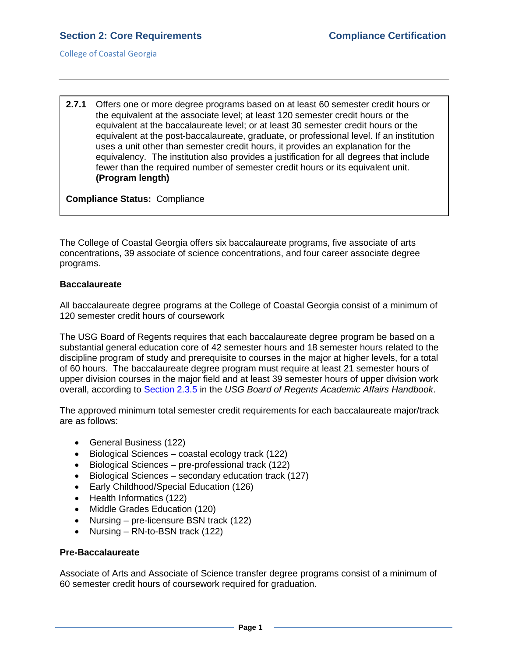College of Coastal Georgia

**2.7.1** Offers one or more degree programs based on at least 60 semester credit hours or the equivalent at the associate level; at least 120 semester credit hours or the equivalent at the baccalaureate level; or at least 30 semester credit hours or the equivalent at the post-baccalaureate, graduate, or professional level. If an institution uses a unit other than semester credit hours, it provides an explanation for the equivalency. The institution also provides a justification for all degrees that include fewer than the required number of semester credit hours or its equivalent unit. **(Program length)**

**Compliance Status:** Compliance

The College of Coastal Georgia offers six baccalaureate programs, five associate of arts concentrations, 39 associate of science concentrations, and four career associate degree programs.

## **Baccalaureate**

All baccalaureate degree programs at the College of Coastal Georgia consist of a minimum of 120 semester credit hours of coursework

The USG Board of Regents requires that each baccalaureate degree program be based on a substantial general education core of 42 semester hours and 18 semester hours related to the discipline program of study and prerequisite to courses in the major at higher levels, for a total of 60 hours. The baccalaureate degree program must require at least 21 semester hours of upper division courses in the major field and at least 39 semester hours of upper division work overall, according to [Section 2.3.5](2.7.1.aUSGAAhandbook2.3.5.pdf#page=3) in the *USG Board of Regents Academic Affairs Handbook*.

The approved minimum total semester credit requirements for each baccalaureate major/track are as follows:

- General Business (122)
- Biological Sciences coastal ecology track (122)
- Biological Sciences pre-professional track (122)
- Biological Sciences secondary education track (127)
- Early Childhood/Special Education (126)
- Health Informatics (122)
- Middle Grades Education (120)
- Nursing pre-licensure BSN track (122)
- Nursing RN-to-BSN track (122)

## **Pre-Baccalaureate**

Associate of Arts and Associate of Science transfer degree programs consist of a minimum of 60 semester credit hours of coursework required for graduation.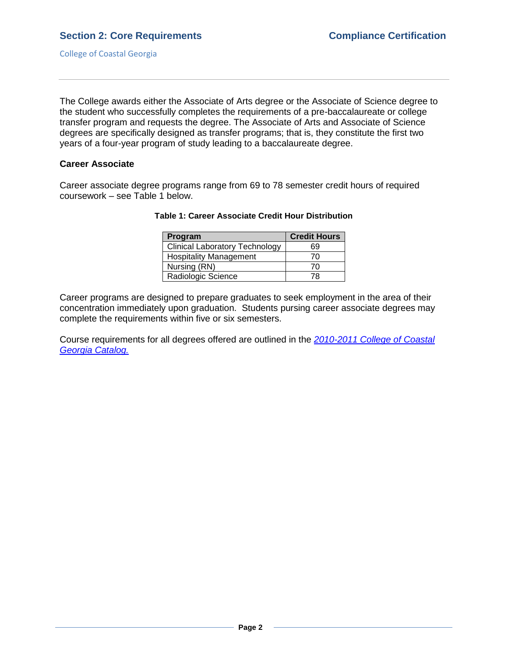The College awards either the Associate of Arts degree or the Associate of Science degree to the student who successfully completes the requirements of a pre-baccalaureate or college transfer program and requests the degree. The Associate of Arts and Associate of Science degrees are specifically designed as transfer programs; that is, they constitute the first two years of a four-year program of study leading to a baccalaureate degree.

#### **Career Associate**

Career associate degree programs range from 69 to 78 semester credit hours of required coursework – see Table 1 below.

| Program                               | <b>Credit Hours</b> |
|---------------------------------------|---------------------|
| <b>Clinical Laboratory Technology</b> | 69                  |
| <b>Hospitality Management</b>         | 70                  |
| Nursing (RN)                          | 70                  |
| Radiologic Science                    | 78                  |

### **Table 1: Career Associate Credit Hour Distribution**

Career programs are designed to prepare graduates to seek employment in the area of their concentration immediately upon graduation. Students pursing career associate degrees may complete the requirements within five or six semesters.

Course requirements for all degrees offered are outlined in the *[2010-2011 College of Coastal](CCGAcatalog.pdf#page=54)  [Georgia Catalog.](CCGAcatalog.pdf#page=54)*